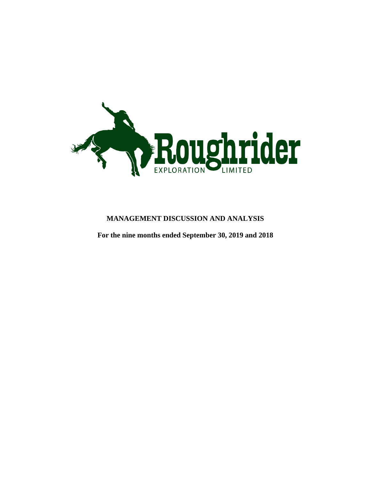

# **MANAGEMENT DISCUSSION AND ANALYSIS**

**For the nine months ended September 30, 2019 and 2018**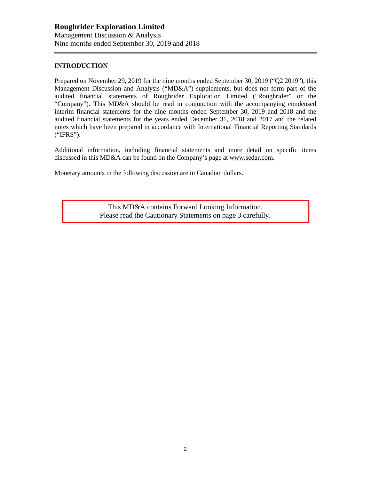## **INTRODUCTION**

Prepared on November 29, 2019 for the nine months ended September 30, 2019 ("Q2 2019"), this Management Discussion and Analysis ("MD&A") supplements, but does not form part of the audited financial statements of Roughrider Exploration Limited ("Roughrider" or the "Company"). This MD&A should be read in conjunction with the accompanying condensed interim financial statements for the nine months ended September 30, 2019 and 2018 and the audited financial statements for the years ended December 31, 2018 and 2017 and the related notes which have been prepared in accordance with International Financial Reporting Standards ("IFRS").

Additional information, including financial statements and more detail on specific items discussed in this MD&A can be found on the Company's page at www.sedar.com.

Monetary amounts in the following discussion are in Canadian dollars.

This MD&A contains Forward Looking Information. Please read the Cautionary Statements on page 3 carefully.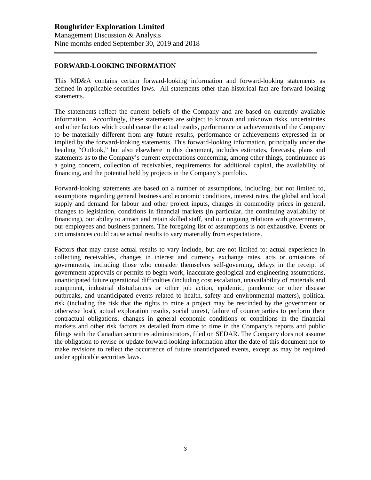## **FORWARD-LOOKING INFORMATION**

This MD&A contains certain forward-looking information and forward-looking statements as defined in applicable securities laws. All statements other than historical fact are forward looking statements.

The statements reflect the current beliefs of the Company and are based on currently available information. Accordingly, these statements are subject to known and unknown risks, uncertainties and other factors which could cause the actual results, performance or achievements of the Company to be materially different from any future results, performance or achievements expressed in or implied by the forward-looking statements. This forward-looking information, principally under the heading "Outlook," but also elsewhere in this document, includes estimates, forecasts, plans and statements as to the Company's current expectations concerning, among other things, continuance as a going concern, collection of receivables, requirements for additional capital, the availability of financing, and the potential held by projects in the Company's portfolio.

Forward-looking statements are based on a number of assumptions, including, but not limited to, assumptions regarding general business and economic conditions, interest rates, the global and local supply and demand for labour and other project inputs, changes in commodity prices in general, changes to legislation, conditions in financial markets (in particular, the continuing availability of financing), our ability to attract and retain skilled staff, and our ongoing relations with governments, our employees and business partners. The foregoing list of assumptions is not exhaustive. Events or circumstances could cause actual results to vary materially from expectations.

Factors that may cause actual results to vary include, but are not limited to: actual experience in collecting receivables, changes in interest and currency exchange rates, acts or omissions of governments, including those who consider themselves self-governing, delays in the receipt of government approvals or permits to begin work, inaccurate geological and engineering assumptions, unanticipated future operational difficulties (including cost escalation, unavailability of materials and equipment, industrial disturbances or other job action, epidemic, pandemic or other disease outbreaks, and unanticipated events related to health, safety and environmental matters), political risk (including the risk that the rights to mine a project may be rescinded by the government or otherwise lost), actual exploration results, social unrest, failure of counterparties to perform their contractual obligations, changes in general economic conditions or conditions in the financial markets and other risk factors as detailed from time to time in the Company's reports and public filings with the Canadian securities administrators, filed on SEDAR. The Company does not assume the obligation to revise or update forward-looking information after the date of this document nor to make revisions to reflect the occurrence of future unanticipated events, except as may be required under applicable securities laws.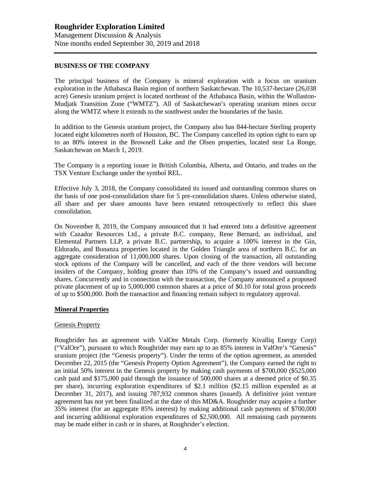#### **BUSINESS OF THE COMPANY**

The principal business of the Company is mineral exploration with a focus on uranium exploration in the Athabasca Basin region of northern Saskatchewan. The 10,537-hectare (26,038 acre) Genesis uranium project is located northeast of the Athabasca Basin, within the Wollaston-Mudjatk Transition Zone ("WMTZ"). All of Saskatchewan's operating uranium mines occur along the WMTZ where it extends to the southwest under the boundaries of the basin.

In addition to the Genesis uranium project, the Company also has 844-hectare Sterling property located eight kilometres north of Houston, BC. The Company cancelled its option right to earn up to an 80% interest in the Brownell Lake and the Olsen properties, located near La Ronge, Saskatchewan on March 1, 2019.

The Company is a reporting issuer in British Columbia, Alberta, and Ontario, and trades on the TSX Venture Exchange under the symbol REL.

Effective July 3, 2018, the Company consolidated its issued and outstanding common shares on the basis of one post-consolidation share for 5 pre-consolidation shares. Unless otherwise stated, all share and per share amounts have been restated retrospectively to reflect this share consolidation.

On November 8, 2019, the Company announced that it had entered into a definitive agreement with Cazador Resources Ltd., a private B.C. company, Rene Bernard, an individual, and Elemental Partners LLP, a private B.C. partnership, to acquire a 100% interest in the Gin, Eldorado, and Bonanza properties located in the Golden Triangle area of northern B.C. for an aggregate consideration of 11,000,000 shares. Upon closing of the transaction, all outstanding stock options of the Company will be cancelled, and each of the three vendors will become insiders of the Company, holding greater than 10% of the Company's issued and outstanding shares. Concurrently and in connection with the transaction, the Company announced a proposed private placement of up to 5,000,000 common shares at a price of \$0.10 for total gross proceeds of up to \$500,000. Both the transaction and financing remain subject to regulatory approval.

#### **Mineral Properties**

#### Genesis Property

Roughrider has an agreement with ValOre Metals Corp. (formerly Kivalliq Energy Corp) ("ValOre"), pursuant to which Roughrider may earn up to an 85% interest in ValOre's "Genesis" uranium project (the "Genesis property"). Under the terms of the option agreement, as amended December 22, 2015 (the "Genesis Property Option Agreement"), the Company earned the right to an initial 50% interest in the Genesis property by making cash payments of \$700,000 (\$525,000 cash paid and \$175,000 paid through the issuance of 500,000 shares at a deemed price of \$0.35 per share), incurring exploration expenditures of \$2.1 million (\$2.15 million expended as at December 31, 2017), and issuing 787,932 common shares (issued). A definitive joint venture agreement has not yet been finalized at the date of this MD&A. Roughrider may acquire a further 35% interest (for an aggregate 85% interest) by making additional cash payments of \$700,000 and incurring additional exploration expenditures of \$2,500,000. All remaining cash payments may be made either in cash or in shares, at Roughrider's election.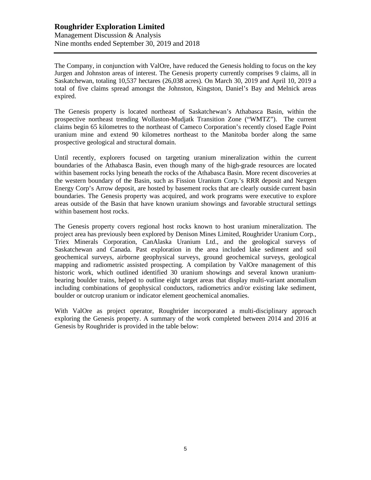## **Roughrider Exploration Limited** Management Discussion & Analysis Nine months ended September 30, 2019 and 2018

The Company, in conjunction with ValOre, have reduced the Genesis holding to focus on the key Jurgen and Johnston areas of interest. The Genesis property currently comprises 9 claims, all in Saskatchewan, totaling 10,537 hectares (26,038 acres). On March 30, 2019 and April 10, 2019 a total of five claims spread amongst the Johnston, Kingston, Daniel's Bay and Melnick areas expired.

The Genesis property is located northeast of Saskatchewan's Athabasca Basin, within the prospective northeast trending Wollaston-Mudjatk Transition Zone ("WMTZ"). The current claims begin 65 kilometres to the northeast of Cameco Corporation's recently closed Eagle Point uranium mine and extend 90 kilometres northeast to the Manitoba border along the same prospective geological and structural domain.

Until recently, explorers focused on targeting uranium mineralization within the current boundaries of the Athabasca Basin, even though many of the high-grade resources are located within basement rocks lying beneath the rocks of the Athabasca Basin. More recent discoveries at the western boundary of the Basin, such as Fission Uranium Corp.'s RRR deposit and Nexgen Energy Corp's Arrow deposit, are hosted by basement rocks that are clearly outside current basin boundaries. The Genesis property was acquired, and work programs were executive to explore areas outside of the Basin that have known uranium showings and favorable structural settings within basement host rocks.

The Genesis property covers regional host rocks known to host uranium mineralization. The project area has previously been explored by Denison Mines Limited, Roughrider Uranium Corp., Triex Minerals Corporation, CanAlaska Uranium Ltd., and the geological surveys of Saskatchewan and Canada. Past exploration in the area included lake sediment and soil geochemical surveys, airborne geophysical surveys, ground geochemical surveys, geological mapping and radiometric assisted prospecting. A compilation by ValOre management of this historic work, which outlined identified 30 uranium showings and several known uraniumbearing boulder trains, helped to outline eight target areas that display multi-variant anomalism including combinations of geophysical conductors, radiometrics and/or existing lake sediment, boulder or outcrop uranium or indicator element geochemical anomalies.

With ValOre as project operator, Roughrider incorporated a multi-disciplinary approach exploring the Genesis property. A summary of the work completed between 2014 and 2016 at Genesis by Roughrider is provided in the table below: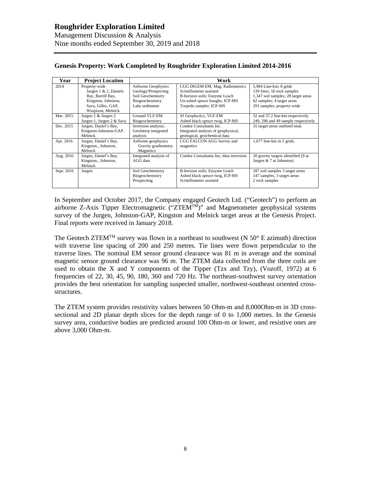| Year       | <b>Project Location</b>                                                                                                            | Work                                                                                                 |                                                                                                                                                          |                                                                                                                                                         |  |
|------------|------------------------------------------------------------------------------------------------------------------------------------|------------------------------------------------------------------------------------------------------|----------------------------------------------------------------------------------------------------------------------------------------------------------|---------------------------------------------------------------------------------------------------------------------------------------------------------|--|
| 2014       | Property-wide<br>Jurgen $1 \& 2$ , Daniels<br>Bay, Burrill Bay,<br>Kingston, Johnston,<br>Sava, Gilles, GAP,<br>Waspison, Melnick. | Airborne Geophysics<br>Geology/Prospecting<br>Soil Geochemistry<br>Biogeochemistry<br>Lake sediments | CGG DIGEM EM, Mag, Radiometrics<br>Scintillometer assisted<br>B-horizon soils; Enzyme Leach<br>Un-ashed spruce boughs; ICP-MS<br>Torpedo sampler; ICP-MS | 5,984 Line-km; 8 grids<br>139 Sites; 16 rock samples<br>1,347 soil samples; 28 target areas<br>62 samples; 4 target areas<br>291 samples; property-wide |  |
| Mar. 2015  | Jurgen 1 & Jurgen 2<br>Jurgen 1, Jurgen 2 & Sava                                                                                   | Ground VLF-EM<br>Biogeochemistry                                                                     | SJ Geophysics, VLF-EM<br>Ashed black spruce twig, ICP-MS                                                                                                 | 32 and 37.2 line-km respectively<br>249, 296 and 49 sample respectively                                                                                 |  |
| Dec. 2015  | Jurgen, Daniel's Bay,<br>Kingston-Johnston-GAP,<br>Melnick                                                                         | Inversion analysis;<br>GeoInterp integrated<br>analysis                                              | Condor Consultants Inc.<br>Integrated analysis of geophysical,<br>geological, geochemical data                                                           | 31 target areas outlined total.                                                                                                                         |  |
| Apr. 2016  | Jurgen, Daniel's Bay,<br>Kingston., Johnston,<br>Melnick                                                                           | Airborne geophysics<br>Gravity gradiometry<br>Magnetics                                              | CGG FALCON AGG Survey and<br>magnetics                                                                                                                   | $1,677$ line-km in 5 grids.                                                                                                                             |  |
| Aug. 2016  | Jurgen, Daniel's Bay,<br>Kingston., Johnston,<br>Melnick                                                                           | Integrated analysis of<br>AGG data                                                                   | Condor Consultants Inc; data inversion                                                                                                                   | 20 gravity targets identified (9 at<br>Jurgen $& 7$ at Johnston)                                                                                        |  |
| Sept. 2016 | Jurgen                                                                                                                             | Soil Geochemistry<br>Biogeochemistry<br>Prospecting                                                  | B-horizon soils; Enzyme Leach<br>Ashed black spruce twig, ICP-MS<br>Scintillometer assisted                                                              | 187 soil samples 3 target areas<br>147 samples, 3 target areas<br>2 rock samples                                                                        |  |

## **Genesis Property: Work Completed by Roughrider Exploration Limited 2014-2016**

In September and October 2017, the Company engaged Geotech Ltd. ("Geotech") to perform an airborne Z-Axis Tipper Electromagnetic  $(TZTEM^{TM})$ " and Magnetometer geophysical systems survey of the Jurgen, Johnston-GAP, Kingston and Melnick target areas at the Genesis Project. Final reports were received in January 2018.

The Geotech ZTEM<sup>TM</sup> survey was flown in a northeast to southwest (N  $50^{\circ}$  E azimuth) direction with traverse line spacing of 200 and 250 metres. Tie lines were flown perpendicular to the traverse lines. The nominal EM sensor ground clearance was 81 m in average and the nominal magnetic sensor ground clearance was 96 m. The ZTEM data collected from the three coils are used to obtain the X and Y components of the Tipper (Tzx and Tzy), (Vozoff, 1972) at 6 frequencies of 22, 30, 45, 90, 180, 360 and 720 Hz. The northeast-southwest survey orientation provides the best orientation for sampling suspected smaller, northwest-southeast oriented crossstructures.

The ZTEM system provides resistivity values between 50 Ohm-m and 8,000Ohm-m in 3D crosssectional and 2D planar depth slices for the depth range of 0 to 1,000 metres. In the Genesis survey area, conductive bodies are predicted around 100 Ohm-m or lower, and resistive ones are above 3,000 Ohm-m.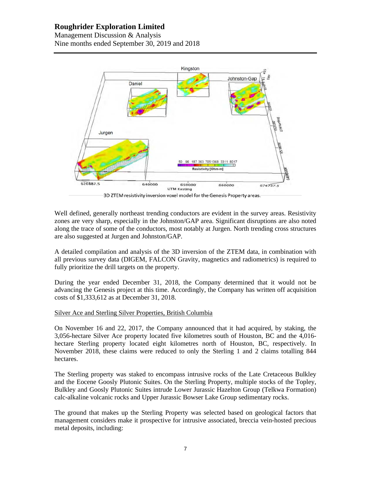Management Discussion & Analysis Nine months ended September 30, 2019 and 2018



3D ZTEM resistivity inversion voxel model for the Genesis Property areas.

Well defined, generally northeast trending conductors are evident in the survey areas. Resistivity zones are very sharp, especially in the Johnston/GAP area. Significant disruptions are also noted along the trace of some of the conductors, most notably at Jurgen. North trending cross structures are also suggested at Jurgen and Johnston/GAP.

A detailed compilation and analysis of the 3D inversion of the ZTEM data, in combination with all previous survey data (DIGEM, FALCON Gravity, magnetics and radiometrics) is required to fully prioritize the drill targets on the property.

During the year ended December 31, 2018, the Company determined that it would not be advancing the Genesis project at this time. Accordingly, the Company has written off acquisition costs of \$1,333,612 as at December 31, 2018.

## Silver Ace and Sterling Silver Properties, British Columbia

On November 16 and 22, 2017, the Company announced that it had acquired, by staking, the 3,056-hectare Silver Ace property located five kilometres south of Houston, BC and the 4,016 hectare Sterling property located eight kilometres north of Houston, BC, respectively. In November 2018, these claims were reduced to only the Sterling 1 and 2 claims totalling 844 hectares.

The Sterling property was staked to encompass intrusive rocks of the Late Cretaceous Bulkley and the Eocene Goosly Plutonic Suites. On the Sterling Property, multiple stocks of the Topley, Bulkley and Goosly Plutonic Suites intrude Lower Jurassic Hazelton Group (Telkwa Formation) calc-alkaline volcanic rocks and Upper Jurassic Bowser Lake Group sedimentary rocks.

The ground that makes up the Sterling Property was selected based on geological factors that management considers make it prospective for intrusive associated, breccia vein-hosted precious metal deposits, including: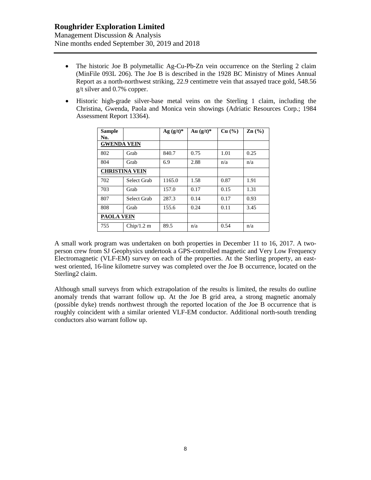Management Discussion & Analysis Nine months ended September 30, 2019 and 2018

- The historic Joe B polymetallic Ag-Cu-Pb-Zn vein occurrence on the Sterling 2 claim (MinFile 093L 206). The Joe B is described in the 1928 BC Ministry of Mines Annual Report as a north-northwest striking, 22.9 centimetre vein that assayed trace gold, 548.56 g/t silver and 0.7% copper.
- Historic high-grade silver-base metal veins on the Sterling 1 claim, including the Christina, Gwenda, Paola and Monica vein showings (Adriatic Resources Corp.; 1984 Assessment Report 13364).

| <b>Sample</b><br>No. |                       | $Ag (g/t)^*$ | Au $(g/t)^*$ | Cu (%) | $\mathbf{Zn}$ (%) |
|----------------------|-----------------------|--------------|--------------|--------|-------------------|
| <b>GWENDA VEIN</b>   |                       |              |              |        |                   |
| 802                  | Grab                  | 840.7        | 0.75         | 1.01   | 0.25              |
| 804                  | Grab                  | 6.9          | 2.88         | n/a    | n/a               |
|                      | <b>CHRISTINA VEIN</b> |              |              |        |                   |
| 702                  | Select Grab           | 1165.0       | 1.58         | 0.87   | 1.91              |
| 703                  | Grab                  | 157.0        | 0.17         | 0.15   | 1.31              |
| 807                  | Select Grab           | 287.3        | 0.14         | 0.17   | 0.93              |
| 808                  | Grab                  | 155.6        | 0.24         | 0.11   | 3.45              |
| <b>PAOLA VEIN</b>    |                       |              |              |        |                   |
| 755                  | Chip/1.2 m            | 89.5         | n/a          | 0.54   | n/a               |

A small work program was undertaken on both properties in December 11 to 16, 2017. A twoperson crew from SJ Geophysics undertook a GPS-controlled magnetic and Very Low Frequency Electromagnetic (VLF-EM) survey on each of the properties. At the Sterling property, an eastwest oriented, 16-line kilometre survey was completed over the Joe B occurrence, located on the Sterling2 claim.

Although small surveys from which extrapolation of the results is limited, the results do outline anomaly trends that warrant follow up. At the Joe B grid area, a strong magnetic anomaly (possible dyke) trends northwest through the reported location of the Joe B occurrence that is roughly coincident with a similar oriented VLF-EM conductor. Additional north-south trending conductors also warrant follow up.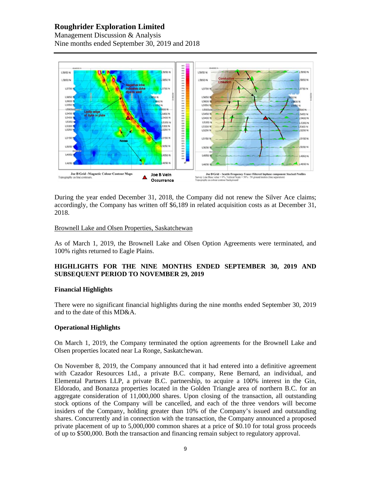Management Discussion & Analysis Nine months ended September 30, 2019 and 2018



During the year ended December 31, 2018, the Company did not renew the Silver Ace claims; accordingly, the Company has written off \$6,189 in related acquisition costs as at December 31, 2018.

## Brownell Lake and Olsen Properties, Saskatchewan

As of March 1, 2019, the Brownell Lake and Olsen Option Agreements were terminated, and 100% rights returned to Eagle Plains.

## **HIGHLIGHTS FOR THE NINE MONTHS ENDED SEPTEMBER 30, 2019 AND SUBSEQUENT PERIOD TO NOVEMBER 29, 2019**

#### **Financial Highlights**

There were no significant financial highlights during the nine months ended September 30, 2019 and to the date of this MD&A.

## **Operational Highlights**

On March 1, 2019, the Company terminated the option agreements for the Brownell Lake and Olsen properties located near La Ronge, Saskatchewan.

On November 8, 2019, the Company announced that it had entered into a definitive agreement with Cazador Resources Ltd., a private B.C. company, Rene Bernard, an individual, and Elemental Partners LLP, a private B.C. partnership, to acquire a 100% interest in the Gin, Eldorado, and Bonanza properties located in the Golden Triangle area of northern B.C. for an aggregate consideration of 11,000,000 shares. Upon closing of the transaction, all outstanding stock options of the Company will be cancelled, and each of the three vendors will become insiders of the Company, holding greater than 10% of the Company's issued and outstanding shares. Concurrently and in connection with the transaction, the Company announced a proposed private placement of up to 5,000,000 common shares at a price of \$0.10 for total gross proceeds of up to \$500,000. Both the transaction and financing remain subject to regulatory approval.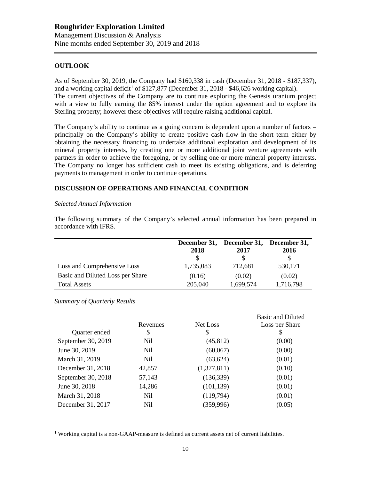## **OUTLOOK**

As of September 30, 2019, the Company had \$160,338 in cash (December 31, 2018 - \$187,337), and a working capital deficit<sup>1</sup> of \$127,877 (December 31, 2018 - \$46,626 working capital). The current objectives of the Company are to continue exploring the Genesis uranium project with a view to fully earning the 85% interest under the option agreement and to explore its Sterling property; however these objectives will require raising additional capital.

The Company's ability to continue as a going concern is dependent upon a number of factors – principally on the Company's ability to create positive cash flow in the short term either by obtaining the necessary financing to undertake additional exploration and development of its mineral property interests, by creating one or more additional joint venture agreements with partners in order to achieve the foregoing, or by selling one or more mineral property interests. The Company no longer has sufficient cash to meet its existing obligations, and is deferring payments to management in order to continue operations.

## **DISCUSSION OF OPERATIONS AND FINANCIAL CONDITION**

#### *Selected Annual Information*

The following summary of the Company's selected annual information has been prepared in accordance with IFRS.

|                                  | 2018      | December 31, December 31,<br>2017 | December 31,<br>2016 |
|----------------------------------|-----------|-----------------------------------|----------------------|
| Loss and Comprehensive Loss      | 1,735,083 | 712,681                           | 530,171              |
| Basic and Diluted Loss per Share | (0.16)    | (0.02)                            | (0.02)               |
| <b>Total Assets</b>              | 205,040   | 1,699,574                         | 1,716,798            |

*Summary of Quarterly Results*

|                    |                |             | Basic and Diluted |
|--------------------|----------------|-------------|-------------------|
|                    | Revenues       | Net Loss    | Loss per Share    |
| Quarter ended      | \$             | S           | S                 |
| September 30, 2019 | Nil            | (45, 812)   | (0.00)            |
| June 30, 2019      | N <sub>i</sub> | (60,067)    | (0.00)            |
| March 31, 2019     | N <sub>i</sub> | (63, 624)   | (0.01)            |
| December 31, 2018  | 42,857         | (1,377,811) | (0.10)            |
| September 30, 2018 | 57,143         | (136, 339)  | (0.01)            |
| June 30, 2018      | 14,286         | (101, 139)  | (0.01)            |
| March 31, 2018     | Nil            | (119,794)   | (0.01)            |
| December 31, 2017  | Nil            | (359,996)   | (0.05)            |

<sup>&</sup>lt;sup>1</sup> Working capital is a non-GAAP-measure is defined as current assets net of current liabilities.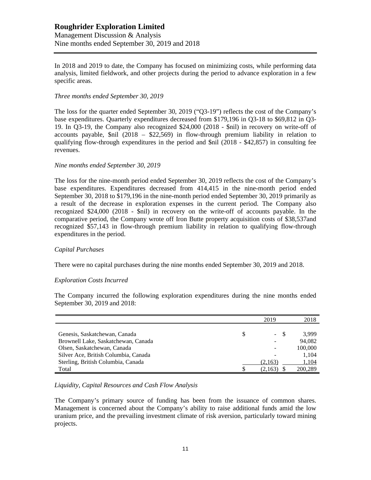## **Roughrider Exploration Limited** Management Discussion & Analysis Nine months ended September 30, 2019 and 2018

In 2018 and 2019 to date, the Company has focused on minimizing costs, while performing data analysis, limited fieldwork, and other projects during the period to advance exploration in a few specific areas.

#### *Three months ended September 30, 2019*

The loss for the quarter ended September 30, 2019 ("Q3-19") reflects the cost of the Company's base expenditures. Quarterly expenditures decreased from \$179,196 in Q3-18 to \$69,812 in Q3- 19. In Q3-19, the Company also recognized \$24,000 (2018 - \$nil) in recovery on write-off of accounts payable,  $\sin$  (2018 – \$22,569) in flow-through premium liability in relation to qualifying flow-through expenditures in the period and \$nil (2018 - \$42,857) in consulting fee revenues.

#### *Nine months ended September 30, 2019*

The loss for the nine-month period ended September 30, 2019 reflects the cost of the Company's base expenditures. Expenditures decreased from 414,415 in the nine-month period ended September 30, 2018 to \$179,196 in the nine-month period ended September 30, 2019 primarily as a result of the decrease in exploration expenses in the current period. The Company also recognized \$24,000 (2018 - \$nil) in recovery on the write-off of accounts payable. In the comparative period, the Company wrote off Iron Butte property acquisition costs of \$38,537and recognized \$57,143 in flow-through premium liability in relation to qualifying flow-through expenditures in the period.

#### *Capital Purchases*

There were no capital purchases during the nine months ended September 30, 2019 and 2018.

#### *Exploration Costs Incurred*

The Company incurred the following exploration expenditures during the nine months ended September 30, 2019 and 2018:

|                                      |    | 2019                     | 2018    |
|--------------------------------------|----|--------------------------|---------|
|                                      |    |                          |         |
| Genesis, Saskatchewan, Canada        | \$ | $\overline{\phantom{a}}$ | 3.999   |
| Brownell Lake, Saskatchewan, Canada  |    | $\qquad \qquad -$        | 94.082  |
| Olsen, Saskatchewan, Canada          |    | ۰                        | 100,000 |
| Silver Ace, British Columbia, Canada |    | $\overline{\phantom{0}}$ | 1,104   |
| Sterling, British Columbia, Canada   |    | (2,163)                  | 1,104   |
| Total                                | S  | (2,163)                  | 200,289 |

#### *Liquidity, Capital Resources and Cash Flow Analysis*

The Company's primary source of funding has been from the issuance of common shares. Management is concerned about the Company's ability to raise additional funds amid the low uranium price, and the prevailing investment climate of risk aversion, particularly toward mining projects.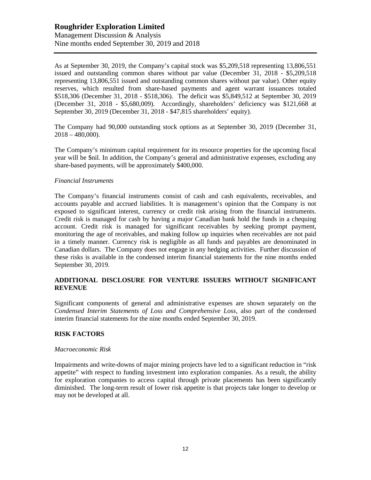As at September 30, 2019, the Company's capital stock was \$5,209,518 representing 13,806,551 issued and outstanding common shares without par value (December 31, 2018 - \$5,209,518 representing 13,806,551 issued and outstanding common shares without par value). Other equity reserves, which resulted from share-based payments and agent warrant issuances totaled \$518,306 (December 31, 2018 - \$518,306). The deficit was \$5,849,512 at September 30, 2019 (December 31, 2018 - \$5,680,009). Accordingly, shareholders' deficiency was \$121,668 at September 30, 2019 (December 31, 2018 - \$47,815 shareholders' equity).

The Company had 90,000 outstanding stock options as at September 30, 2019 (December 31,  $2018 - 480,000$ .

The Company's minimum capital requirement for its resource properties for the upcoming fiscal year will be \$nil. In addition, the Company's general and administrative expenses, excluding any share-based payments, will be approximately \$400,000.

## *Financial Instruments*

The Company's financial instruments consist of cash and cash equivalents, receivables, and accounts payable and accrued liabilities. It is management's opinion that the Company is not exposed to significant interest, currency or credit risk arising from the financial instruments. Credit risk is managed for cash by having a major Canadian bank hold the funds in a chequing account. Credit risk is managed for significant receivables by seeking prompt payment, monitoring the age of receivables, and making follow up inquiries when receivables are not paid in a timely manner. Currency risk is negligible as all funds and payables are denominated in Canadian dollars. The Company does not engage in any hedging activities. Further discussion of these risks is available in the condensed interim financial statements for the nine months ended September 30, 2019.

## **ADDITIONAL DISCLOSURE FOR VENTURE ISSUERS WITHOUT SIGNIFICANT REVENUE**

Significant components of general and administrative expenses are shown separately on the *Condensed Interim Statements of Loss and Comprehensive Loss,* also part of the condensed interim financial statements for the nine months ended September 30, 2019.

## **RISK FACTORS**

#### *Macroeconomic Risk*

Impairments and write-downs of major mining projects have led to a significant reduction in "risk appetite" with respect to funding investment into exploration companies. As a result, the ability for exploration companies to access capital through private placements has been significantly diminished. The long-term result of lower risk appetite is that projects take longer to develop or may not be developed at all.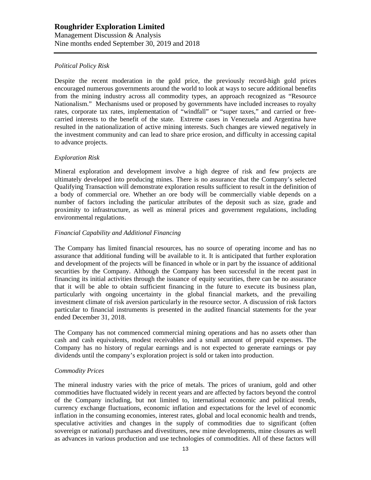Management Discussion & Analysis Nine months ended September 30, 2019 and 2018

## *Political Policy Risk*

Despite the recent moderation in the gold price, the previously record-high gold prices encouraged numerous governments around the world to look at ways to secure additional benefits from the mining industry across all commodity types, an approach recognized as "Resource Nationalism." Mechanisms used or proposed by governments have included increases to royalty rates, corporate tax rates, implementation of "windfall" or "super taxes," and carried or freecarried interests to the benefit of the state. Extreme cases in Venezuela and Argentina have resulted in the nationalization of active mining interests. Such changes are viewed negatively in the investment community and can lead to share price erosion, and difficulty in accessing capital to advance projects.

## *Exploration Risk*

Mineral exploration and development involve a high degree of risk and few projects are ultimately developed into producing mines. There is no assurance that the Company's selected Qualifying Transaction will demonstrate exploration results sufficient to result in the definition of a body of commercial ore. Whether an ore body will be commercially viable depends on a number of factors including the particular attributes of the deposit such as size, grade and proximity to infrastructure, as well as mineral prices and government regulations, including environmental regulations.

## *Financial Capability and Additional Financing*

The Company has limited financial resources, has no source of operating income and has no assurance that additional funding will be available to it. It is anticipated that further exploration and development of the projects will be financed in whole or in part by the issuance of additional securities by the Company. Although the Company has been successful in the recent past in financing its initial activities through the issuance of equity securities, there can be no assurance that it will be able to obtain sufficient financing in the future to execute its business plan, particularly with ongoing uncertainty in the global financial markets, and the prevailing investment climate of risk aversion particularly in the resource sector. A discussion of risk factors particular to financial instruments is presented in the audited financial statements for the year ended December 31, 2018.

The Company has not commenced commercial mining operations and has no assets other than cash and cash equivalents, modest receivables and a small amount of prepaid expenses. The Company has no history of regular earnings and is not expected to generate earnings or pay dividends until the company's exploration project is sold or taken into production.

## *Commodity Prices*

The mineral industry varies with the price of metals. The prices of uranium, gold and other commodities have fluctuated widely in recent years and are affected by factors beyond the control of the Company including, but not limited to, international economic and political trends, currency exchange fluctuations, economic inflation and expectations for the level of economic inflation in the consuming economies, interest rates, global and local economic health and trends, speculative activities and changes in the supply of commodities due to significant (often sovereign or national) purchases and divestitures, new mine developments, mine closures as well as advances in various production and use technologies of commodities. All of these factors will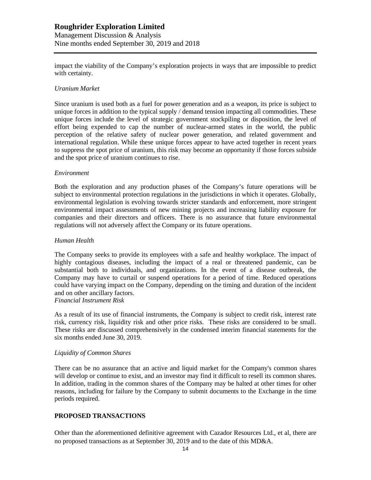Management Discussion & Analysis Nine months ended September 30, 2019 and 2018

impact the viability of the Company's exploration projects in ways that are impossible to predict with certainty.

## *Uranium Market*

Since uranium is used both as a fuel for power generation and as a weapon, its price is subject to unique forces in addition to the typical supply / demand tension impacting all commodities. These unique forces include the level of strategic government stockpiling or disposition, the level of effort being expended to cap the number of nuclear-armed states in the world, the public perception of the relative safety of nuclear power generation, and related government and international regulation. While these unique forces appear to have acted together in recent years to suppress the spot price of uranium, this risk may become an opportunity if those forces subside and the spot price of uranium continues to rise.

#### *Environment*

Both the exploration and any production phases of the Company's future operations will be subject to environmental protection regulations in the jurisdictions in which it operates. Globally, environmental legislation is evolving towards stricter standards and enforcement, more stringent environmental impact assessments of new mining projects and increasing liability exposure for companies and their directors and officers. There is no assurance that future environmental regulations will not adversely affect the Company or its future operations.

## *Human Health*

The Company seeks to provide its employees with a safe and healthy workplace. The impact of highly contagious diseases, including the impact of a real or threatened pandemic, can be substantial both to individuals, and organizations. In the event of a disease outbreak, the Company may have to curtail or suspend operations for a period of time. Reduced operations could have varying impact on the Company, depending on the timing and duration of the incident and on other ancillary factors.

## *Financial Instrument Risk*

As a result of its use of financial instruments, the Company is subject to credit risk, interest rate risk, currency risk, liquidity risk and other price risks. These risks are considered to be small. These risks are discussed comprehensively in the condensed interim financial statements for the six months ended June 30, 2019.

#### *Liquidity of Common Shares*

There can be no assurance that an active and liquid market for the Company's common shares will develop or continue to exist, and an investor may find it difficult to resell its common shares. In addition, trading in the common shares of the Company may be halted at other times for other reasons, including for failure by the Company to submit documents to the Exchange in the time periods required.

## **PROPOSED TRANSACTIONS**

Other than the aforementioned definitive agreement with Cazador Resources Ltd., et al, there are no proposed transactions as at September 30, 2019 and to the date of this MD&A.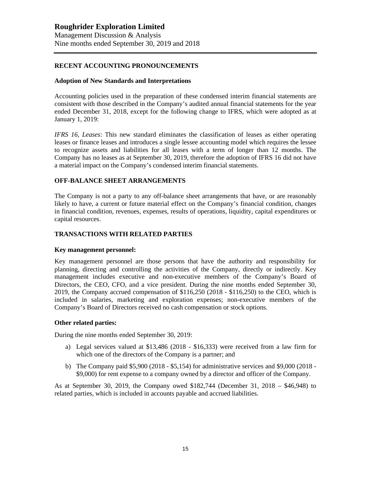## **RECENT ACCOUNTING PRONOUNCEMENTS**

#### **Adoption of New Standards and Interpretations**

Accounting policies used in the preparation of these condensed interim financial statements are consistent with those described in the Company's audited annual financial statements for the year ended December 31, 2018, except for the following change to IFRS, which were adopted as at January 1, 2019:

*IFRS 16, Leases*: This new standard eliminates the classification of leases as either operating leases or finance leases and introduces a single lessee accounting model which requires the lessee to recognize assets and liabilities for all leases with a term of longer than 12 months. The Company has no leases as at September 30, 2019, therefore the adoption of IFRS 16 did not have a material impact on the Company's condensed interim financial statements.

## **OFF-BALANCE SHEET ARRANGEMENTS**

The Company is not a party to any off-balance sheet arrangements that have, or are reasonably likely to have, a current or future material effect on the Company's financial condition, changes in financial condition, revenues, expenses, results of operations, liquidity, capital expenditures or capital resources.

## **TRANSACTIONS WITH RELATED PARTIES**

#### **Key management personnel:**

Key management personnel are those persons that have the authority and responsibility for planning, directing and controlling the activities of the Company, directly or indirectly. Key management includes executive and non-executive members of the Company's Board of Directors, the CEO, CFO, and a vice president. During the nine months ended September 30, 2019, the Company accrued compensation of \$116,250 (2018 - \$116,250) to the CEO, which is included in salaries, marketing and exploration expenses; non-executive members of the Company's Board of Directors received no cash compensation or stock options.

#### **Other related parties:**

During the nine months ended September 30, 2019:

- a) Legal services valued at \$13,486 (2018 \$16,333) were received from a law firm for which one of the directors of the Company is a partner; and
- b) The Company paid \$5,900 (2018 \$5,154) for administrative services and \$9,000 (2018 \$9,000) for rent expense to a company owned by a director and officer of the Company.

As at September 30, 2019, the Company owed \$182,744 (December 31, 2018 – \$46,948) to related parties, which is included in accounts payable and accrued liabilities.